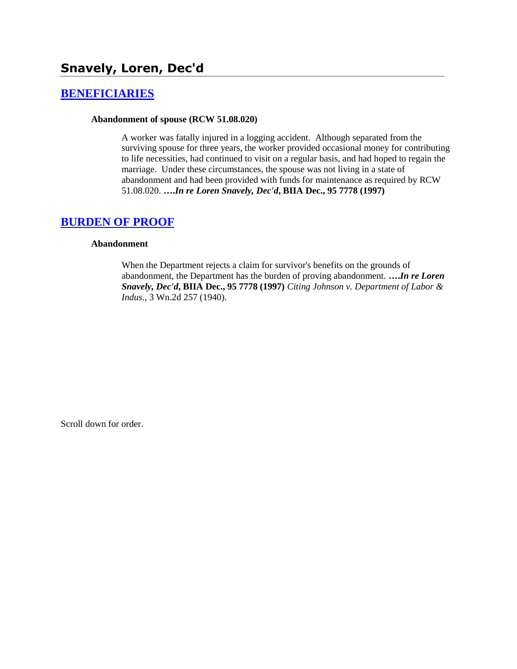# **Snavely, Loren, Dec'd**

## **[BENEFICIARIES](http://www.biia.wa.gov/SDSubjectIndex.html#BENEFICIARIES)**

#### **Abandonment of spouse (RCW 51.08.020)**

A worker was fatally injured in a logging accident. Although separated from the surviving spouse for three years, the worker provided occasional money for contributing to life necessities, had continued to visit on a regular basis, and had hoped to regain the marriage. Under these circumstances, the spouse was not living in a state of abandonment and had been provided with funds for maintenance as required by RCW 51.08.020. **….***In re Loren Snavely, Dec'd***, BIIA Dec., 95 7778 (1997)** 

### **[BURDEN OF PROOF](http://www.biia.wa.gov/SDSubjectIndex.html#BURDEN_OF_PROOF)**

#### **Abandonment**

When the Department rejects a claim for survivor's benefits on the grounds of abandonment, the Department has the burden of proving abandonment. **….***In re Loren Snavely, Dec'd***, BIIA Dec., 95 7778 (1997)** *Citing Johnson v. Department of Labor & Indus.*, 3 Wn.2d 257 (1940).

Scroll down for order.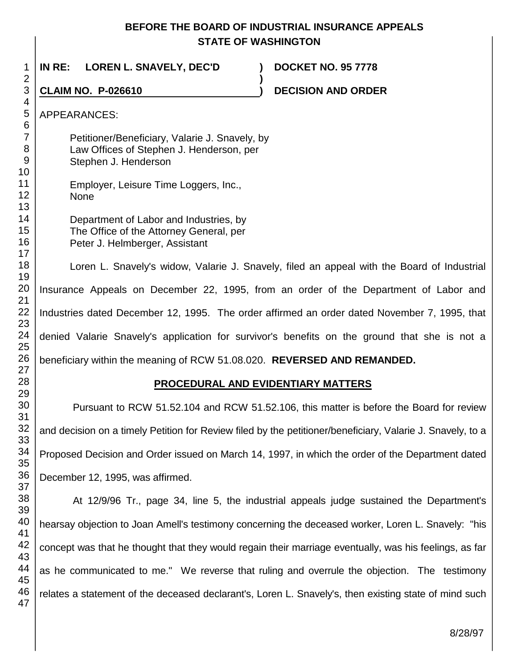## **BEFORE THE BOARD OF INDUSTRIAL INSURANCE APPEALS STATE OF WASHINGTON**

**)**

 **IN RE: LOREN L. SNAVELY, DEC'D ) DOCKET NO. 95 7778**

**CLAIM NO. P-026610 )**

**DECISION AND ORDER** 

APPEARANCES:

Petitioner/Beneficiary, Valarie J. Snavely, by Law Offices of Stephen J. Henderson, per Stephen J. Henderson

| 11                                      | Employer, Leisure Time Loggers, Inc., |
|-----------------------------------------|---------------------------------------|
| $\begin{array}{c} 12 \\ 13 \end{array}$ | <b>None</b>                           |
|                                         |                                       |

Department of Labor and Industries, by The Office of the Attorney General, per Peter J. Helmberger, Assistant

Loren L. Snavely's widow, Valarie J. Snavely, filed an appeal with the Board of Industrial Insurance Appeals on December 22, 1995, from an order of the Department of Labor and Industries dated December 12, 1995. The order affirmed an order dated November 7, 1995, that denied Valarie Snavely's application for survivor's benefits on the ground that she is not a beneficiary within the meaning of RCW 51.08.020. **REVERSED AND REMANDED.**

# **PROCEDURAL AND EVIDENTIARY MATTERS**

Pursuant to RCW 51.52.104 and RCW 51.52.106, this matter is before the Board for review and decision on a timely Petition for Review filed by the petitioner/beneficiary, Valarie J. Snavely, to a Proposed Decision and Order issued on March 14, 1997, in which the order of the Department dated December 12, 1995, was affirmed.

At 12/9/96 Tr., page 34, line 5, the industrial appeals judge sustained the Department's hearsay objection to Joan Amell's testimony concerning the deceased worker, Loren L. Snavely: "his concept was that he thought that they would regain their marriage eventually, was his feelings, as far as he communicated to me." We reverse that ruling and overrule the objection. The testimony relates a statement of the deceased declarant's, Loren L. Snavely's, then existing state of mind such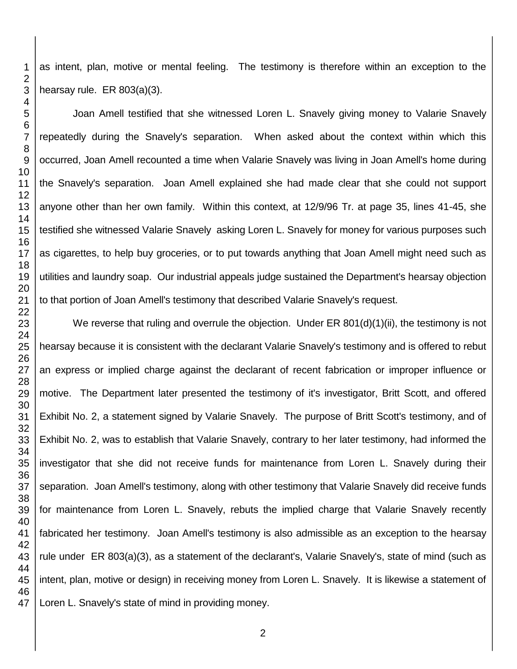as intent, plan, motive or mental feeling. The testimony is therefore within an exception to the hearsay rule. ER 803(a)(3).

Joan Amell testified that she witnessed Loren L. Snavely giving money to Valarie Snavely repeatedly during the Snavely's separation. When asked about the context within which this occurred, Joan Amell recounted a time when Valarie Snavely was living in Joan Amell's home during the Snavely's separation. Joan Amell explained she had made clear that she could not support anyone other than her own family. Within this context, at 12/9/96 Tr. at page 35, lines 41-45, she testified she witnessed Valarie Snavely asking Loren L. Snavely for money for various purposes such as cigarettes, to help buy groceries, or to put towards anything that Joan Amell might need such as utilities and laundry soap. Our industrial appeals judge sustained the Department's hearsay objection to that portion of Joan Amell's testimony that described Valarie Snavely's request.

We reverse that ruling and overrule the objection. Under ER  $801(d)(1)(ii)$ , the testimony is not hearsay because it is consistent with the declarant Valarie Snavely's testimony and is offered to rebut an express or implied charge against the declarant of recent fabrication or improper influence or motive. The Department later presented the testimony of it's investigator, Britt Scott, and offered Exhibit No. 2, a statement signed by Valarie Snavely. The purpose of Britt Scott's testimony, and of Exhibit No. 2, was to establish that Valarie Snavely, contrary to her later testimony, had informed the investigator that she did not receive funds for maintenance from Loren L. Snavely during their separation. Joan Amell's testimony, along with other testimony that Valarie Snavely did receive funds for maintenance from Loren L. Snavely, rebuts the implied charge that Valarie Snavely recently fabricated her testimony. Joan Amell's testimony is also admissible as an exception to the hearsay rule under ER 803(a)(3), as a statement of the declarant's, Valarie Snavely's, state of mind (such as intent, plan, motive or design) in receiving money from Loren L. Snavely. It is likewise a statement of Loren L. Snavely's state of mind in providing money.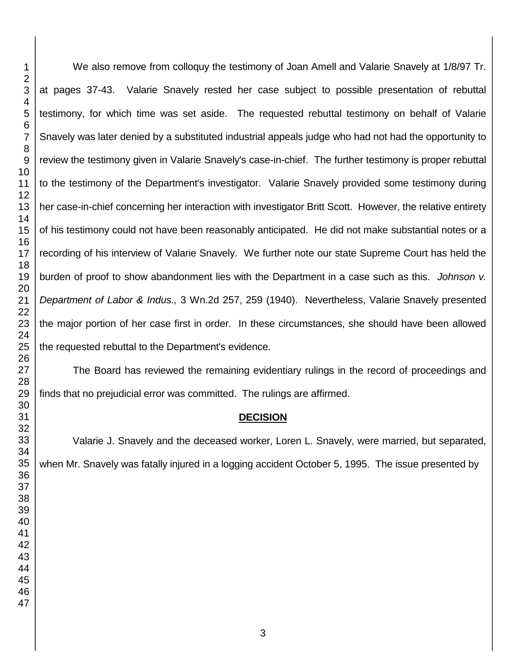We also remove from colloquy the testimony of Joan Amell and Valarie Snavely at 1/8/97 Tr. at pages 37-43. Valarie Snavely rested her case subject to possible presentation of rebuttal testimony, for which time was set aside. The requested rebuttal testimony on behalf of Valarie Snavely was later denied by a substituted industrial appeals judge who had not had the opportunity to review the testimony given in Valarie Snavely's case-in-chief. The further testimony is proper rebuttal to the testimony of the Department's investigator. Valarie Snavely provided some testimony during her case-in-chief concerning her interaction with investigator Britt Scott. However, the relative entirety of his testimony could not have been reasonably anticipated. He did not make substantial notes or a recording of his interview of Valarie Snavely. We further note our state Supreme Court has held the burden of proof to show abandonment lies with the Department in a case such as this. *Johnson v. Department of Labor & Indus.,* 3 Wn.2d 257, 259 (1940). Nevertheless, Valarie Snavely presented the major portion of her case first in order. In these circumstances, she should have been allowed the requested rebuttal to the Department's evidence.

The Board has reviewed the remaining evidentiary rulings in the record of proceedings and finds that no prejudicial error was committed. The rulings are affirmed.

## **DECISION**

Valarie J. Snavely and the deceased worker, Loren L. Snavely, were married, but separated, when Mr. Snavely was fatally injured in a logging accident October 5, 1995. The issue presented by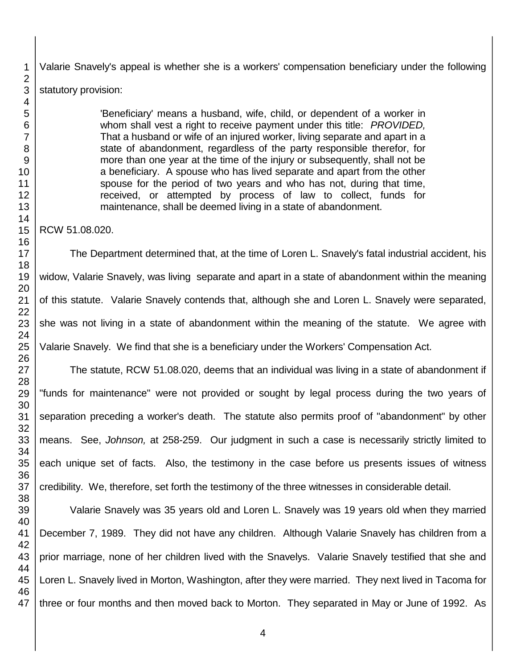Valarie Snavely's appeal is whether she is a workers' compensation beneficiary under the following statutory provision:

> 'Beneficiary' means a husband, wife, child, or dependent of a worker in whom shall vest a right to receive payment under this title: *PROVIDED,* That a husband or wife of an injured worker, living separate and apart in a state of abandonment, regardless of the party responsible therefor, for more than one year at the time of the injury or subsequently, shall not be a beneficiary. A spouse who has lived separate and apart from the other spouse for the period of two years and who has not, during that time, received, or attempted by process of law to collect, funds for maintenance, shall be deemed living in a state of abandonment.

RCW 51.08.020.

The Department determined that, at the time of Loren L. Snavely's fatal industrial accident, his widow, Valarie Snavely, was living separate and apart in a state of abandonment within the meaning of this statute. Valarie Snavely contends that, although she and Loren L. Snavely were separated, she was not living in a state of abandonment within the meaning of the statute. We agree with Valarie Snavely. We find that she is a beneficiary under the Workers' Compensation Act.

The statute, RCW 51.08.020, deems that an individual was living in a state of abandonment if "funds for maintenance" were not provided or sought by legal process during the two years of separation preceding a worker's death. The statute also permits proof of "abandonment" by other means. See, *Johnson,* at 258-259. Our judgment in such a case is necessarily strictly limited to each unique set of facts. Also, the testimony in the case before us presents issues of witness credibility. We, therefore, set forth the testimony of the three witnesses in considerable detail.

Valarie Snavely was 35 years old and Loren L. Snavely was 19 years old when they married December 7, 1989. They did not have any children. Although Valarie Snavely has children from a prior marriage, none of her children lived with the Snavelys. Valarie Snavely testified that she and Loren L. Snavely lived in Morton, Washington, after they were married. They next lived in Tacoma for three or four months and then moved back to Morton. They separated in May or June of 1992. As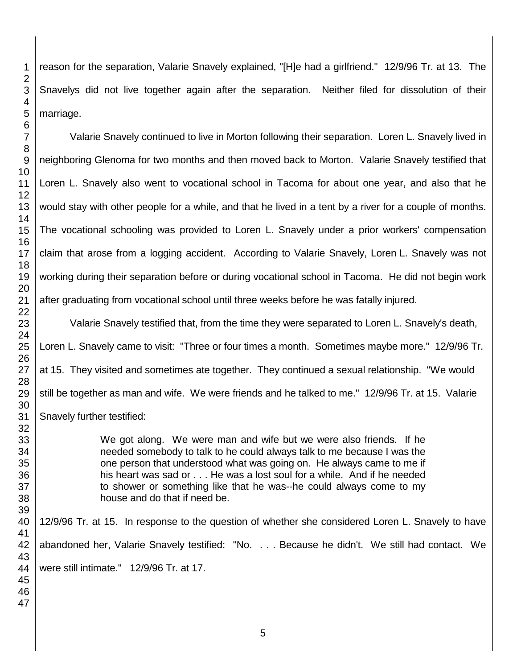reason for the separation, Valarie Snavely explained, "[H]e had a girlfriend." 12/9/96 Tr. at 13. The Snavelys did not live together again after the separation. Neither filed for dissolution of their marriage. Valarie Snavely continued to live in Morton following their separation. Loren L. Snavely lived in

neighboring Glenoma for two months and then moved back to Morton. Valarie Snavely testified that Loren L. Snavely also went to vocational school in Tacoma for about one year, and also that he would stay with other people for a while, and that he lived in a tent by a river for a couple of months. The vocational schooling was provided to Loren L. Snavely under a prior workers' compensation claim that arose from a logging accident. According to Valarie Snavely, Loren L. Snavely was not working during their separation before or during vocational school in Tacoma. He did not begin work after graduating from vocational school until three weeks before he was fatally injured.

Valarie Snavely testified that, from the time they were separated to Loren L. Snavely's death, Loren L. Snavely came to visit: "Three or four times a month. Sometimes maybe more." 12/9/96 Tr. at 15. They visited and sometimes ate together. They continued a sexual relationship. "We would still be together as man and wife. We were friends and he talked to me." 12/9/96 Tr. at 15. Valarie Snavely further testified:

> We got along. We were man and wife but we were also friends. If he needed somebody to talk to he could always talk to me because I was the one person that understood what was going on. He always came to me if his heart was sad or . . . He was a lost soul for a while. And if he needed to shower or something like that he was--he could always come to my house and do that if need be.

12/9/96 Tr. at 15. In response to the question of whether she considered Loren L. Snavely to have abandoned her, Valarie Snavely testified: "No. . . . Because he didn't. We still had contact. We were still intimate." 12/9/96 Tr. at 17.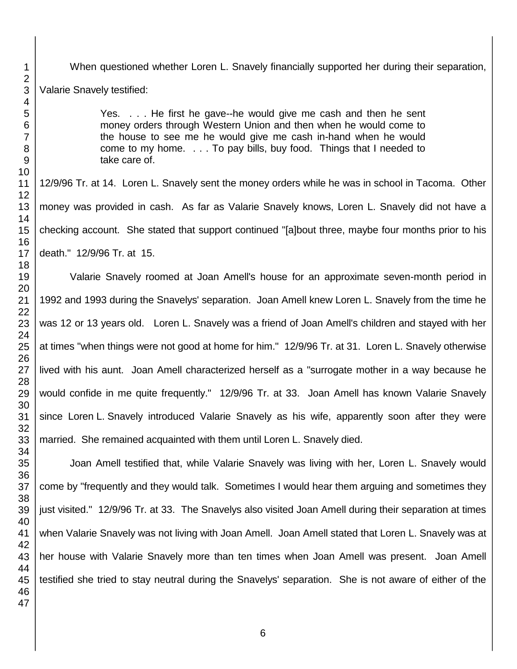When questioned whether Loren L. Snavely financially supported her during their separation, Valarie Snavely testified:

> Yes. . . . He first he gave--he would give me cash and then he sent money orders through Western Union and then when he would come to the house to see me he would give me cash in-hand when he would come to my home. . . . To pay bills, buy food. Things that I needed to take care of.

12/9/96 Tr. at 14. Loren L. Snavely sent the money orders while he was in school in Tacoma. Other money was provided in cash. As far as Valarie Snavely knows, Loren L. Snavely did not have a checking account. She stated that support continued "[a]bout three, maybe four months prior to his death." 12/9/96 Tr. at 15.

Valarie Snavely roomed at Joan Amell's house for an approximate seven-month period in 1992 and 1993 during the Snavelys' separation. Joan Amell knew Loren L. Snavely from the time he was 12 or 13 years old. Loren L. Snavely was a friend of Joan Amell's children and stayed with her at times "when things were not good at home for him." 12/9/96 Tr. at 31. Loren L. Snavely otherwise lived with his aunt. Joan Amell characterized herself as a "surrogate mother in a way because he would confide in me quite frequently." 12/9/96 Tr. at 33. Joan Amell has known Valarie Snavely since Loren L. Snavely introduced Valarie Snavely as his wife, apparently soon after they were married. She remained acquainted with them until Loren L. Snavely died.

Joan Amell testified that, while Valarie Snavely was living with her, Loren L. Snavely would come by "frequently and they would talk. Sometimes I would hear them arguing and sometimes they just visited." 12/9/96 Tr. at 33. The Snavelys also visited Joan Amell during their separation at times when Valarie Snavely was not living with Joan Amell. Joan Amell stated that Loren L. Snavely was at her house with Valarie Snavely more than ten times when Joan Amell was present. Joan Amell testified she tried to stay neutral during the Snavelys' separation. She is not aware of either of the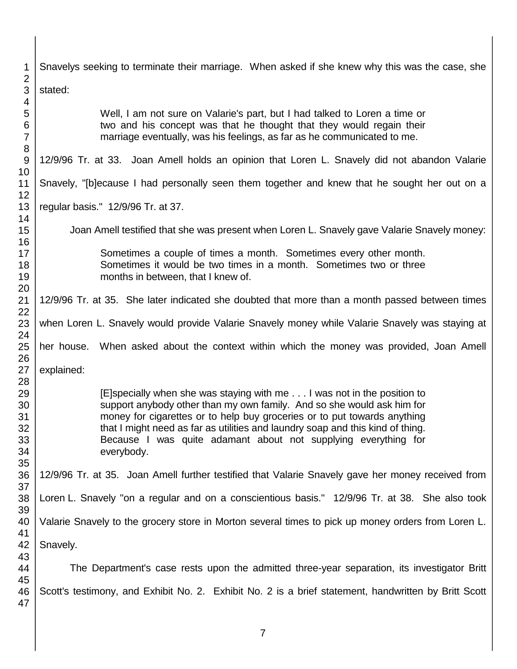| 1<br>$\overline{2}$                    | Snavelys seeking to terminate their marriage. When asked if she knew why this was the case, she                                                                                                                                                                                                                                                                                                |
|----------------------------------------|------------------------------------------------------------------------------------------------------------------------------------------------------------------------------------------------------------------------------------------------------------------------------------------------------------------------------------------------------------------------------------------------|
| 3<br>4                                 | stated:                                                                                                                                                                                                                                                                                                                                                                                        |
| 5<br>6<br>$\overline{7}$<br>8          | Well, I am not sure on Valarie's part, but I had talked to Loren a time or<br>two and his concept was that he thought that they would regain their<br>marriage eventually, was his feelings, as far as he communicated to me.                                                                                                                                                                  |
| 9<br>10                                | 12/9/96 Tr. at 33. Joan Amell holds an opinion that Loren L. Snavely did not abandon Valarie                                                                                                                                                                                                                                                                                                   |
| 11<br>12                               | Snavely, "[b]ecause I had personally seen them together and knew that he sought her out on a                                                                                                                                                                                                                                                                                                   |
| 13<br>14                               | regular basis." 12/9/96 Tr. at 37.                                                                                                                                                                                                                                                                                                                                                             |
| 15<br>16                               | Joan Amell testified that she was present when Loren L. Snavely gave Valarie Snavely money:                                                                                                                                                                                                                                                                                                    |
| 17<br>18<br>19                         | Sometimes a couple of times a month. Sometimes every other month.<br>Sometimes it would be two times in a month. Sometimes two or three<br>months in between, that I knew of.                                                                                                                                                                                                                  |
| 20<br>21                               | 12/9/96 Tr. at 35. She later indicated she doubted that more than a month passed between times                                                                                                                                                                                                                                                                                                 |
| 22<br>23<br>24                         | when Loren L. Snavely would provide Valarie Snavely money while Valarie Snavely was staying at                                                                                                                                                                                                                                                                                                 |
| 25                                     | her house. When asked about the context within which the money was provided, Joan Amell                                                                                                                                                                                                                                                                                                        |
| 26<br>27                               | explained:                                                                                                                                                                                                                                                                                                                                                                                     |
| 28<br>29<br>30<br>31<br>32<br>33<br>34 | [E]specially when she was staying with me I was not in the position to<br>support anybody other than my own family. And so she would ask him for<br>money for cigarettes or to help buy groceries or to put towards anything<br>that I might need as far as utilities and laundry soap and this kind of thing.<br>Because I was quite adamant about not supplying everything for<br>everybody. |
| 35<br>36<br>37                         | 12/9/96 Tr. at 35. Joan Amell further testified that Valarie Snavely gave her money received from                                                                                                                                                                                                                                                                                              |
| 38<br>39                               | Loren L. Snavely "on a regular and on a conscientious basis." 12/9/96 Tr. at 38. She also took                                                                                                                                                                                                                                                                                                 |
| 40<br>41                               | Valarie Snavely to the grocery store in Morton several times to pick up money orders from Loren L.                                                                                                                                                                                                                                                                                             |
| 42<br>43                               | Snavely.                                                                                                                                                                                                                                                                                                                                                                                       |
| 44<br>45                               | The Department's case rests upon the admitted three-year separation, its investigator Britt                                                                                                                                                                                                                                                                                                    |
| 46<br>47                               | Scott's testimony, and Exhibit No. 2. Exhibit No. 2 is a brief statement, handwritten by Britt Scott                                                                                                                                                                                                                                                                                           |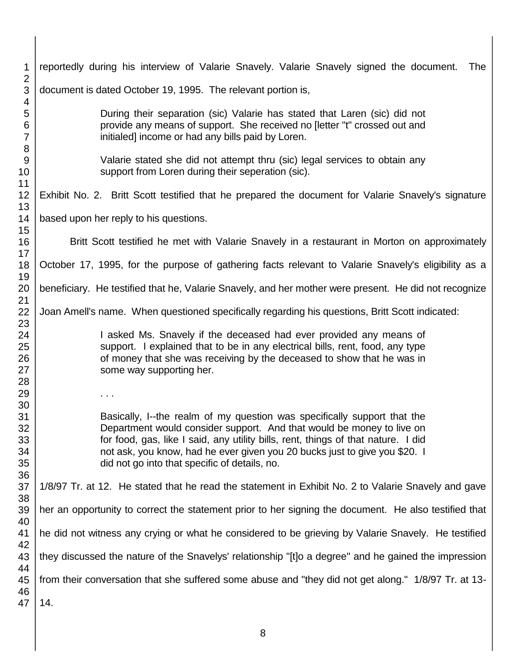| 1                                                         | reportedly during his interview of Valarie Snavely. Valarie Snavely signed the document.<br>The                                                                                                                                                                                                                                                                       |
|-----------------------------------------------------------|-----------------------------------------------------------------------------------------------------------------------------------------------------------------------------------------------------------------------------------------------------------------------------------------------------------------------------------------------------------------------|
| $\overline{2}$<br>3<br>4<br>5<br>6<br>$\overline{7}$<br>8 | document is dated October 19, 1995. The relevant portion is,                                                                                                                                                                                                                                                                                                          |
|                                                           | During their separation (sic) Valarie has stated that Laren (sic) did not<br>provide any means of support. She received no [letter "t" crossed out and<br>initialed] income or had any bills paid by Loren.                                                                                                                                                           |
| $9\,$<br>10                                               | Valarie stated she did not attempt thru (sic) legal services to obtain any<br>support from Loren during their seperation (sic).                                                                                                                                                                                                                                       |
| 11<br>12<br>13                                            | Exhibit No. 2. Britt Scott testified that he prepared the document for Valarie Snavely's signature                                                                                                                                                                                                                                                                    |
| 14<br>15                                                  | based upon her reply to his questions.                                                                                                                                                                                                                                                                                                                                |
| 16<br>17                                                  | Britt Scott testified he met with Valarie Snavely in a restaurant in Morton on approximately                                                                                                                                                                                                                                                                          |
| 18<br>19                                                  | October 17, 1995, for the purpose of gathering facts relevant to Valarie Snavely's eligibility as a                                                                                                                                                                                                                                                                   |
| 20<br>21                                                  | beneficiary. He testified that he, Valarie Snavely, and her mother were present. He did not recognize                                                                                                                                                                                                                                                                 |
| 22<br>23                                                  | Joan Amell's name. When questioned specifically regarding his questions, Britt Scott indicated:                                                                                                                                                                                                                                                                       |
| 24<br>25<br>26<br>27                                      | I asked Ms. Snavely if the deceased had ever provided any means of<br>support. I explained that to be in any electrical bills, rent, food, any type<br>of money that she was receiving by the deceased to show that he was in<br>some way supporting her.                                                                                                             |
| 28<br>29                                                  | $\sim$ $\sim$                                                                                                                                                                                                                                                                                                                                                         |
| 30<br>31<br>32<br>33<br>34<br>35                          | Basically, I--the realm of my question was specifically support that the<br>Department would consider support. And that would be money to live on<br>for food, gas, like I said, any utility bills, rent, things of that nature. I did<br>not ask, you know, had he ever given you 20 bucks just to give you \$20. I<br>did not go into that specific of details, no. |
| 36<br>37<br>38                                            | 1/8/97 Tr. at 12. He stated that he read the statement in Exhibit No. 2 to Valarie Snavely and gave                                                                                                                                                                                                                                                                   |
| 39<br>40                                                  | her an opportunity to correct the statement prior to her signing the document. He also testified that                                                                                                                                                                                                                                                                 |
| 41<br>42                                                  | he did not witness any crying or what he considered to be grieving by Valarie Snavely. He testified                                                                                                                                                                                                                                                                   |
| 43<br>44                                                  | they discussed the nature of the Snavelys' relationship "[t]o a degree" and he gained the impression                                                                                                                                                                                                                                                                  |
| 45<br>46                                                  | from their conversation that she suffered some abuse and "they did not get along." 1/8/97 Tr. at 13-                                                                                                                                                                                                                                                                  |
| 47                                                        | 14.                                                                                                                                                                                                                                                                                                                                                                   |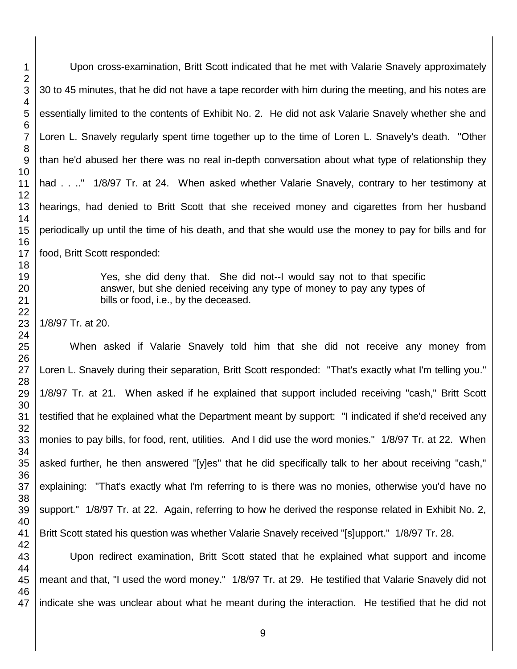Upon cross-examination, Britt Scott indicated that he met with Valarie Snavely approximately 30 to 45 minutes, that he did not have a tape recorder with him during the meeting, and his notes are essentially limited to the contents of Exhibit No. 2. He did not ask Valarie Snavely whether she and Loren L. Snavely regularly spent time together up to the time of Loren L. Snavely's death. "Other than he'd abused her there was no real in-depth conversation about what type of relationship they had . . .." 1/8/97 Tr. at 24. When asked whether Valarie Snavely, contrary to her testimony at hearings, had denied to Britt Scott that she received money and cigarettes from her husband periodically up until the time of his death, and that she would use the money to pay for bills and for food, Britt Scott responded:

> Yes, she did deny that. She did not--I would say not to that specific answer, but she denied receiving any type of money to pay any types of bills or food, i.e., by the deceased.

When asked if Valarie Snavely told him that she did not receive any money from Loren L. Snavely during their separation, Britt Scott responded: "That's exactly what I'm telling you." 1/8/97 Tr. at 21. When asked if he explained that support included receiving "cash," Britt Scott testified that he explained what the Department meant by support: "I indicated if she'd received any monies to pay bills, for food, rent, utilities. And I did use the word monies." 1/8/97 Tr. at 22. When asked further, he then answered "[y]es" that he did specifically talk to her about receiving ''cash," explaining: "That's exactly what I'm referring to is there was no monies, otherwise you'd have no support." 1/8/97 Tr. at 22. Again, referring to how he derived the response related in Exhibit No. 2, Britt Scott stated his question was whether Valarie Snavely received "[s]upport." 1/8/97 Tr. 28.

 Upon redirect examination, Britt Scott stated that he explained what support and income meant and that, "I used the word money." 1/8/97 Tr. at 29. He testified that Valarie Snavely did not indicate she was unclear about what he meant during the interaction. He testified that he did not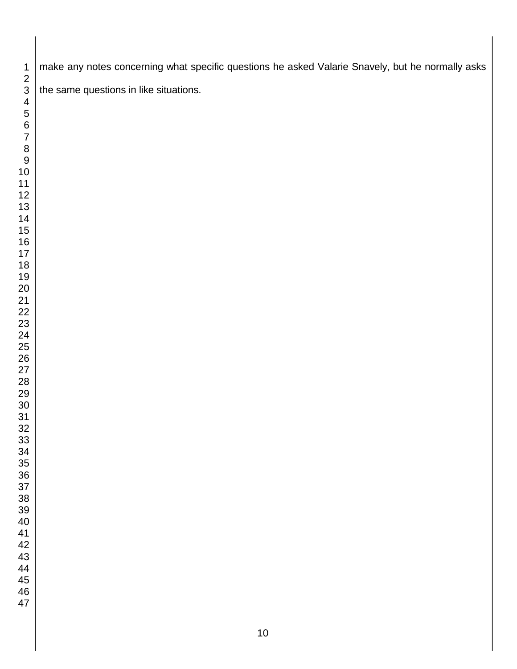make any notes concerning what specific questions he asked Valarie Snavely, but he normally asks the same questions in like situations.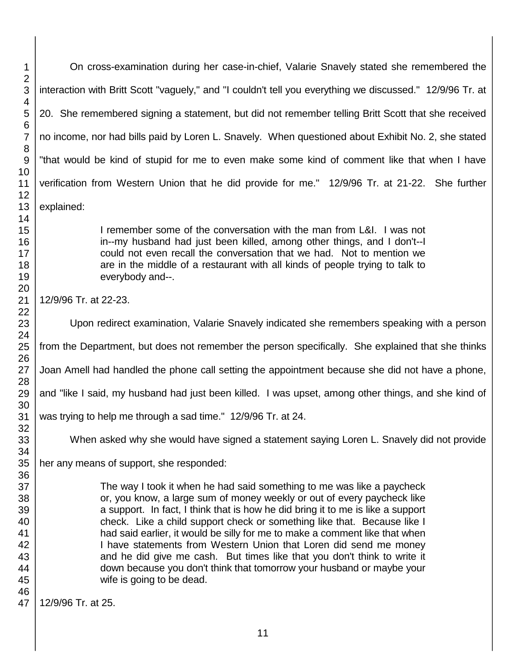On cross-examination during her case-in-chief, Valarie Snavely stated she remembered the interaction with Britt Scott "vaguely," and "I couldn't tell you everything we discussed." 12/9/96 Tr. at 20. She remembered signing a statement, but did not remember telling Britt Scott that she received no income, nor had bills paid by Loren L. Snavely. When questioned about Exhibit No. 2, she stated "that would be kind of stupid for me to even make some kind of comment like that when I have verification from Western Union that he did provide for me." 12/9/96 Tr. at 21-22. She further explained:

> I remember some of the conversation with the man from L&I. I was not in--my husband had just been killed, among other things, and I don't--I could not even recall the conversation that we had. Not to mention we are in the middle of a restaurant with all kinds of people trying to talk to everybody and--.

12/9/96 Tr. at 22-23.

Upon redirect examination, Valarie Snavely indicated she remembers speaking with a person

from the Department, but does not remember the person specifically. She explained that she thinks

Joan Amell had handled the phone call setting the appointment because she did not have a phone,

and "like I said, my husband had just been killed. I was upset, among other things, and she kind of

was trying to help me through a sad time." 12/9/96 Tr. at 24.

When asked why she would have signed a statement saying Loren L. Snavely did not provide

her any means of support, she responded:

The way I took it when he had said something to me was like a paycheck or, you know, a large sum of money weekly or out of every paycheck like a support. In fact, I think that is how he did bring it to me is like a support check. Like a child support check or something like that. Because like I had said earlier, it would be silly for me to make a comment like that when I have statements from Western Union that Loren did send me money and he did give me cash. But times like that you don't think to write it down because you don't think that tomorrow your husband or maybe your wife is going to be dead.

12/9/96 Tr. at 25.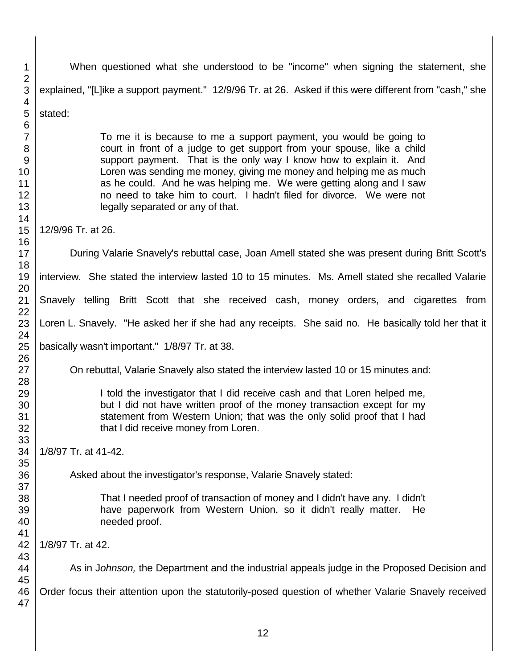| 1                                                               | When questioned what she understood to be "income" when signing the statement, she                                                                                                                                                                                                                                                                                                                                                                                              |
|-----------------------------------------------------------------|---------------------------------------------------------------------------------------------------------------------------------------------------------------------------------------------------------------------------------------------------------------------------------------------------------------------------------------------------------------------------------------------------------------------------------------------------------------------------------|
| 2<br>3<br>4                                                     | explained, "[L]ike a support payment." 12/9/96 Tr. at 26. Asked if this were different from "cash," she                                                                                                                                                                                                                                                                                                                                                                         |
| 5                                                               | stated:                                                                                                                                                                                                                                                                                                                                                                                                                                                                         |
| $\,6$<br>$\overline{7}$<br>8<br>9<br>10<br>11<br>12<br>13<br>14 | To me it is because to me a support payment, you would be going to<br>court in front of a judge to get support from your spouse, like a child<br>support payment. That is the only way I know how to explain it. And<br>Loren was sending me money, giving me money and helping me as much<br>as he could. And he was helping me. We were getting along and I saw<br>no need to take him to court. I hadn't filed for divorce. We were not<br>legally separated or any of that. |
| 15<br>16                                                        | 12/9/96 Tr. at 26.                                                                                                                                                                                                                                                                                                                                                                                                                                                              |
| 17<br>18                                                        | During Valarie Snavely's rebuttal case, Joan Amell stated she was present during Britt Scott's                                                                                                                                                                                                                                                                                                                                                                                  |
| 19<br>20                                                        | interview. She stated the interview lasted 10 to 15 minutes. Ms. Amell stated she recalled Valarie                                                                                                                                                                                                                                                                                                                                                                              |
| 21<br>22                                                        | Snavely telling Britt Scott that she received cash, money orders, and cigarettes from                                                                                                                                                                                                                                                                                                                                                                                           |
| 23<br>24                                                        | Loren L. Snavely. "He asked her if she had any receipts. She said no. He basically told her that it                                                                                                                                                                                                                                                                                                                                                                             |
| 25<br>26                                                        | basically wasn't important." 1/8/97 Tr. at 38.                                                                                                                                                                                                                                                                                                                                                                                                                                  |
| 27<br>28                                                        | On rebuttal, Valarie Snavely also stated the interview lasted 10 or 15 minutes and:                                                                                                                                                                                                                                                                                                                                                                                             |
| 29<br>30<br>31<br>32                                            | I told the investigator that I did receive cash and that Loren helped me,<br>but I did not have written proof of the money transaction except for my<br>statement from Western Union; that was the only solid proof that I had<br>that I did receive money from Loren.                                                                                                                                                                                                          |
| 33<br>34<br>35                                                  | 1/8/97 Tr. at 41-42.                                                                                                                                                                                                                                                                                                                                                                                                                                                            |
| 36<br>37                                                        | Asked about the investigator's response, Valarie Snavely stated:                                                                                                                                                                                                                                                                                                                                                                                                                |
| 38<br>39<br>40<br>41                                            | That I needed proof of transaction of money and I didn't have any. I didn't<br>have paperwork from Western Union, so it didn't really matter.<br>He<br>needed proof.                                                                                                                                                                                                                                                                                                            |
| 42<br>43                                                        | 1/8/97 Tr. at 42.                                                                                                                                                                                                                                                                                                                                                                                                                                                               |
| 44<br>45                                                        | As in Johnson, the Department and the industrial appeals judge in the Proposed Decision and                                                                                                                                                                                                                                                                                                                                                                                     |
| 46<br>47                                                        | Order focus their attention upon the statutorily-posed question of whether Valarie Snavely received                                                                                                                                                                                                                                                                                                                                                                             |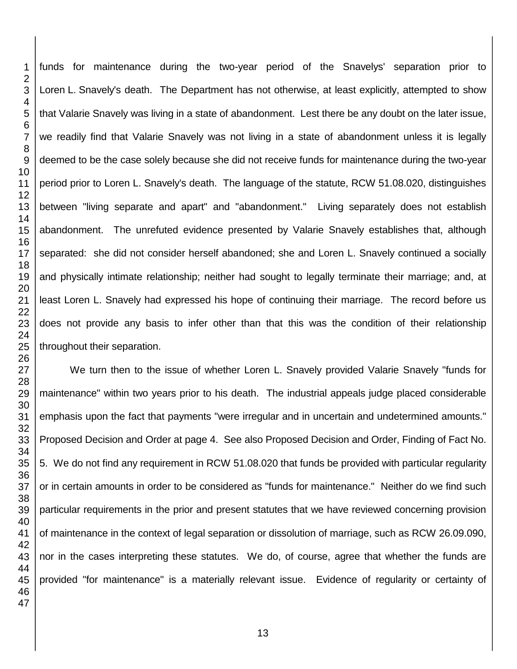funds for maintenance during the two-year period of the Snavelys' separation prior to Loren L. Snavely's death. The Department has not otherwise, at least explicitly, attempted to show that Valarie Snavely was living in a state of abandonment. Lest there be any doubt on the later issue, we readily find that Valarie Snavely was not living in a state of abandonment unless it is legally deemed to be the case solely because she did not receive funds for maintenance during the two-year period prior to Loren L. Snavely's death. The language of the statute, RCW 51.08.020, distinguishes between "living separate and apart" and "abandonment." Living separately does not establish abandonment. The unrefuted evidence presented by Valarie Snavely establishes that, although separated: she did not consider herself abandoned; she and Loren L. Snavely continued a socially and physically intimate relationship; neither had sought to legally terminate their marriage; and, at least Loren L. Snavely had expressed his hope of continuing their marriage. The record before us does not provide any basis to infer other than that this was the condition of their relationship throughout their separation.

We turn then to the issue of whether Loren L. Snavely provided Valarie Snavely "funds for maintenance" within two years prior to his death. The industrial appeals judge placed considerable emphasis upon the fact that payments "were irregular and in uncertain and undetermined amounts." Proposed Decision and Order at page 4. See also Proposed Decision and Order, Finding of Fact No. 5. We do not find any requirement in RCW 51.08.020 that funds be provided with particular regularity or in certain amounts in order to be considered as "funds for maintenance." Neither do we find such particular requirements in the prior and present statutes that we have reviewed concerning provision of maintenance in the context of legal separation or dissolution of marriage, such as RCW 26.09.090, nor in the cases interpreting these statutes. We do, of course, agree that whether the funds are provided "for maintenance" is a materially relevant issue. Evidence of regularity or certainty of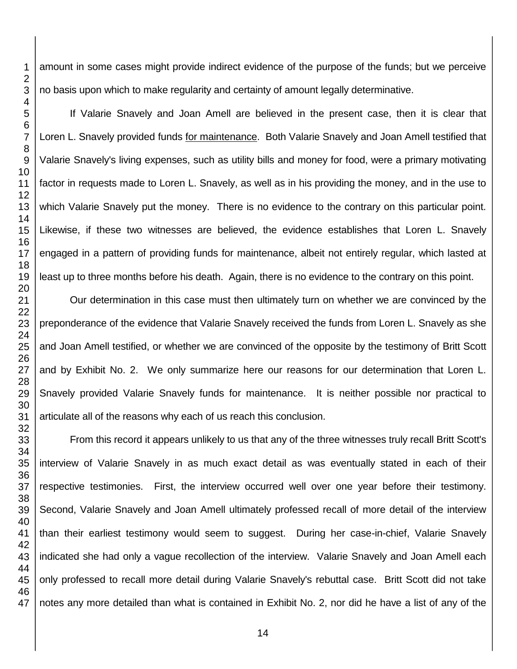amount in some cases might provide indirect evidence of the purpose of the funds; but we perceive no basis upon which to make regularity and certainty of amount legally determinative.

If Valarie Snavely and Joan Amell are believed in the present case, then it is clear that Loren L. Snavely provided funds for maintenance. Both Valarie Snavely and Joan Amell testified that Valarie Snavely's living expenses, such as utility bills and money for food, were a primary motivating factor in requests made to Loren L. Snavely, as well as in his providing the money, and in the use to which Valarie Snavely put the money. There is no evidence to the contrary on this particular point. Likewise, if these two witnesses are believed, the evidence establishes that Loren L. Snavely engaged in a pattern of providing funds for maintenance, albeit not entirely regular, which lasted at least up to three months before his death. Again, there is no evidence to the contrary on this point.

Our determination in this case must then ultimately turn on whether we are convinced by the preponderance of the evidence that Valarie Snavely received the funds from Loren L. Snavely as she and Joan Amell testified, or whether we are convinced of the opposite by the testimony of Britt Scott and by Exhibit No. 2. We only summarize here our reasons for our determination that Loren L. Snavely provided Valarie Snavely funds for maintenance. It is neither possible nor practical to articulate all of the reasons why each of us reach this conclusion.

From this record it appears unlikely to us that any of the three witnesses truly recall Britt Scott's interview of Valarie Snavely in as much exact detail as was eventually stated in each of their respective testimonies. First, the interview occurred well over one year before their testimony. Second, Valarie Snavely and Joan Amell ultimately professed recall of more detail of the interview than their earliest testimony would seem to suggest. During her case-in-chief, Valarie Snavely indicated she had only a vague recollection of the interview. Valarie Snavely and Joan Amell each only professed to recall more detail during Valarie Snavely's rebuttal case. Britt Scott did not take notes any more detailed than what is contained in Exhibit No. 2, nor did he have a list of any of the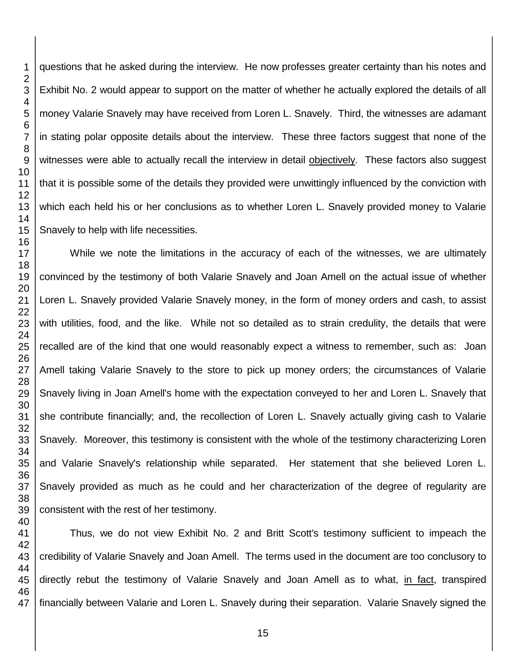questions that he asked during the interview. He now professes greater certainty than his notes and Exhibit No. 2 would appear to support on the matter of whether he actually explored the details of all money Valarie Snavely may have received from Loren L. Snavely. Third, the witnesses are adamant in stating polar opposite details about the interview. These three factors suggest that none of the witnesses were able to actually recall the interview in detail objectively. These factors also suggest that it is possible some of the details they provided were unwittingly influenced by the conviction with which each held his or her conclusions as to whether Loren L. Snavely provided money to Valarie Snavely to help with life necessities.

While we note the limitations in the accuracy of each of the witnesses, we are ultimately convinced by the testimony of both Valarie Snavely and Joan Amell on the actual issue of whether Loren L. Snavely provided Valarie Snavely money, in the form of money orders and cash, to assist with utilities, food, and the like. While not so detailed as to strain credulity, the details that were recalled are of the kind that one would reasonably expect a witness to remember, such as: Joan Amell taking Valarie Snavely to the store to pick up money orders; the circumstances of Valarie Snavely living in Joan Amell's home with the expectation conveyed to her and Loren L. Snavely that she contribute financially; and, the recollection of Loren L. Snavely actually giving cash to Valarie Snavely. Moreover, this testimony is consistent with the whole of the testimony characterizing Loren and Valarie Snavely's relationship while separated. Her statement that she believed Loren L. Snavely provided as much as he could and her characterization of the degree of regularity are consistent with the rest of her testimony.

 Thus, we do not view Exhibit No. 2 and Britt Scott's testimony sufficient to impeach the credibility of Valarie Snavely and Joan Amell. The terms used in the document are too conclusory to directly rebut the testimony of Valarie Snavely and Joan Amell as to what, in fact, transpired financially between Valarie and Loren L. Snavely during their separation. Valarie Snavely signed the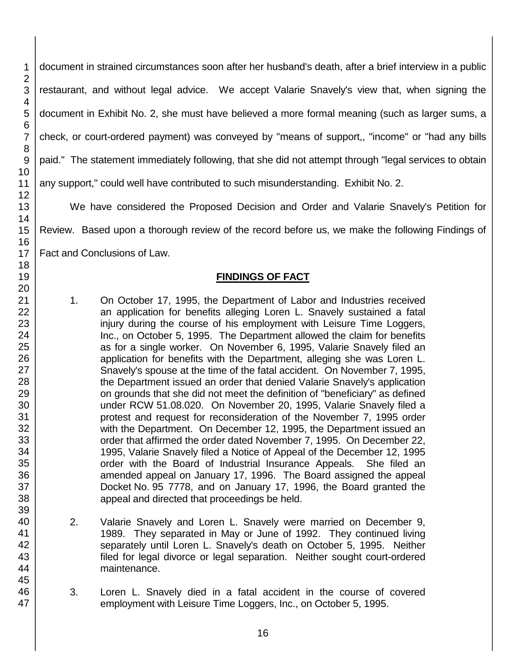document in strained circumstances soon after her husband's death, after a brief interview in a public restaurant, and without legal advice. We accept Valarie Snavely's view that, when signing the document in Exhibit No. 2, she must have believed a more formal meaning (such as larger sums, a check, or court-ordered payment) was conveyed by "means of support,, "income" or "had any bills paid." The statement immediately following, that she did not attempt through "legal services to obtain any support," could well have contributed to such misunderstanding. Exhibit No. 2.

We have considered the Proposed Decision and Order and Valarie Snavely's Petition for Review. Based upon a thorough review of the record before us, we make the following Findings of Fact and Conclusions of Law.

## **FINDINGS OF FACT**

- 1. On October 17, 1995, the Department of Labor and Industries received an application for benefits alleging Loren L. Snavely sustained a fatal injury during the course of his employment with Leisure Time Loggers, Inc., on October 5, 1995. The Department allowed the claim for benefits as for a single worker. On November 6, 1995, Valarie Snavely filed an application for benefits with the Department, alleging she was Loren L. Snavely's spouse at the time of the fatal accident. On November 7, 1995, the Department issued an order that denied Valarie Snavely's application on grounds that she did not meet the definition of "beneficiary" as defined under RCW 51.08.020. On November 20, 1995, Valarie Snavely filed a protest and request for reconsideration of the November 7, 1995 order with the Department. On December 12, 1995, the Department issued an order that affirmed the order dated November 7, 1995. On December 22, 1995, Valarie Snavely filed a Notice of Appeal of the December 12, 1995 order with the Board of Industrial Insurance Appeals. She filed an amended appeal on January 17, 1996. The Board assigned the appeal Docket No. 95 7778, and on January 17, 1996, the Board granted the appeal and directed that proceedings be held.
- 2. Valarie Snavely and Loren L. Snavely were married on December 9, 1989. They separated in May or June of 1992. They continued living separately until Loren L. Snavely's death on October 5, 1995. Neither filed for legal divorce or legal separation. Neither sought court-ordered maintenance.
- 3. Loren L. Snavely died in a fatal accident in the course of covered employment with Leisure Time Loggers, Inc., on October 5, 1995.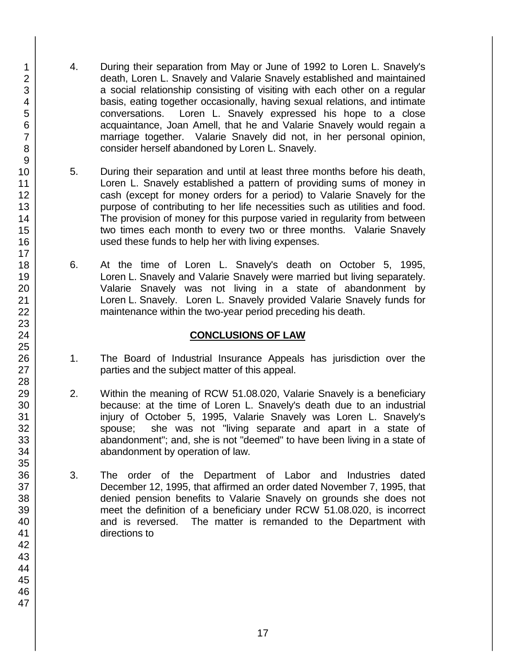- 4. During their separation from May or June of 1992 to Loren L. Snavely's death, Loren L. Snavely and Valarie Snavely established and maintained a social relationship consisting of visiting with each other on a regular basis, eating together occasionally, having sexual relations, and intimate conversations. Loren L. Snavely expressed his hope to a close acquaintance, Joan Amell, that he and Valarie Snavely would regain a marriage together. Valarie Snavely did not, in her personal opinion, consider herself abandoned by Loren L. Snavely.
- 5. During their separation and until at least three months before his death, Loren L. Snavely established a pattern of providing sums of money in cash (except for money orders for a period) to Valarie Snavely for the purpose of contributing to her life necessities such as utilities and food. The provision of money for this purpose varied in regularity from between two times each month to every two or three months. Valarie Snavely used these funds to help her with living expenses.
- 6. At the time of Loren L. Snavely's death on October 5, 1995, Loren L. Snavely and Valarie Snavely were married but living separately. Valarie Snavely was not living in a state of abandonment by Loren L. Snavely. Loren L. Snavely provided Valarie Snavely funds for maintenance within the two-year period preceding his death.

## **CONCLUSIONS OF LAW**

- 1. The Board of Industrial Insurance Appeals has jurisdiction over the parties and the subject matter of this appeal.
- 2. Within the meaning of RCW 51.08.020, Valarie Snavely is a beneficiary because: at the time of Loren L. Snavely's death due to an industrial injury of October 5, 1995, Valarie Snavely was Loren L. Snavely's spouse; she was not "living separate and apart in a state of abandonment"; and, she is not "deemed" to have been living in a state of abandonment by operation of law.
- 3. The order of the Department of Labor and Industries dated December 12, 1995, that affirmed an order dated November 7, 1995, that denied pension benefits to Valarie Snavely on grounds she does not meet the definition of a beneficiary under RCW 51.08.020, is incorrect and is reversed. The matter is remanded to the Department with directions to